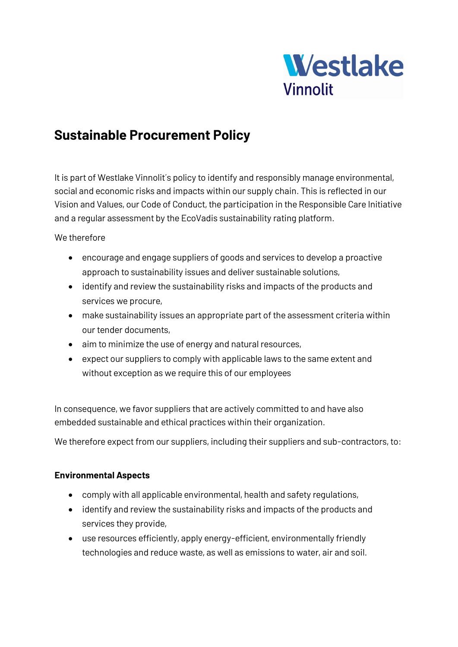

# **Sustainable Procurement Policy**

It is part of Westlake Vinnolit's policy to identify and responsibly manage environmental, social and economic risks and impacts within our supply chain. This is reflected in our Vision and Values, our Code of Conduct, the participation in the Responsible Care Initiative and a regular assessment by the EcoVadis sustainability rating platform.

## We therefore

- encourage and engage suppliers of goods and services to develop a proactive approach to sustainability issues and deliver sustainable solutions,
- identify and review the sustainability risks and impacts of the products and services we procure,
- make sustainability issues an appropriate part of the assessment criteria within our tender documents,
- aim to minimize the use of energy and natural resources,
- expect our suppliers to comply with applicable laws to the same extent and without exception as we require this of our employees

In consequence, we favor suppliers that are actively committed to and have also embedded sustainable and ethical practices within their organization.

We therefore expect from our suppliers, including their suppliers and sub-contractors, to:

### **Environmental Aspects**

- comply with all applicable environmental, health and safety regulations,
- identify and review the sustainability risks and impacts of the products and services they provide,
- use resources efficiently, apply energy-efficient, environmentally friendly technologies and reduce waste, as well as emissions to water, air and soil.